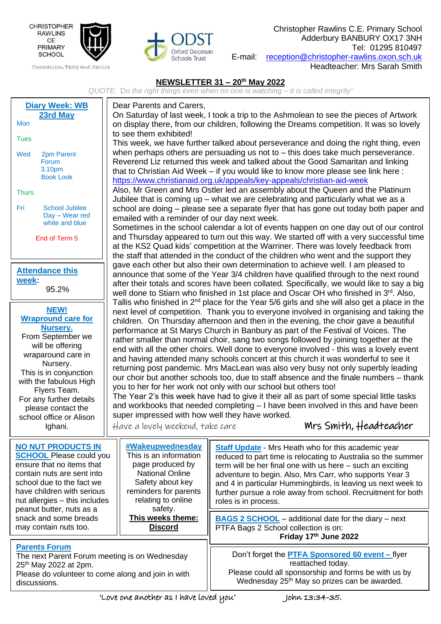

Compassion, Peace and Service



Christopher Rawlins C.E. Primary School Adderbury BANBURY OX17 3NH Tel: 01295 810497 E-mail: [reception@christopher-rawlins.oxon.sch.uk](mailto:reception@christopher-rawlins.oxon.sch.uk) Headteacher: Mrs Sarah Smith

## **NEWSLETTER 31 – 20th May 2022**

*QUOTE: 'Do the right things even when no one is watching – it is called integrity'*